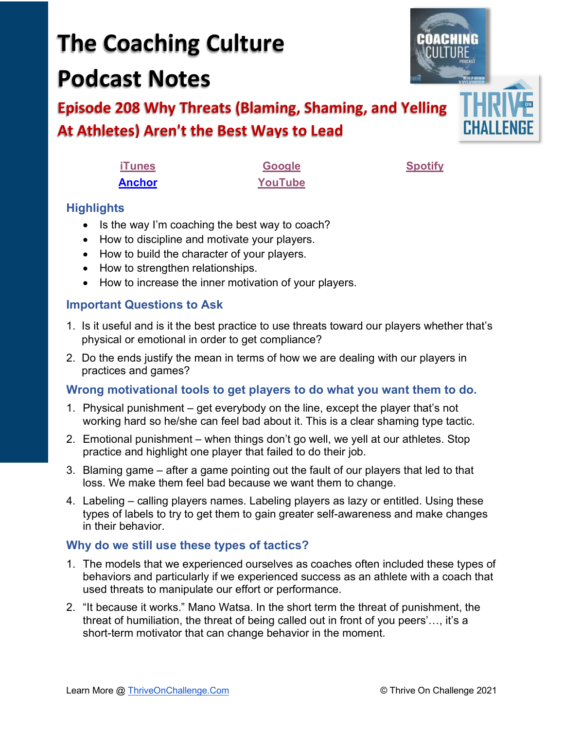# **The Coaching Culture Podcast Notes**

## **Episode 208 Why Threats (Blaming, Shaming, and Yelling At Athletes) Aren't the Best Ways to Lead**

| <b>iTunes</b> | <b>Google</b> | <b>Spotify</b> |
|---------------|---------------|----------------|
| <b>Anchor</b> | YouTube       |                |

### **Highlights**

- Is the way I'm coaching the best way to coach?
- How to discipline and motivate your players.
- How to build the character of your players.
- How to strengthen relationships.
- How to increase the inner motivation of your players.

#### **Important Questions to Ask**

- 1. Is it useful and is it the best practice to use threats toward our players whether that's physical or emotional in order to get compliance?
- 2. Do the ends justify the mean in terms of how we are dealing with our players in practices and games?

#### **Wrong motivational tools to get players to do what you want them to do.**

- 1. Physical punishment get everybody on the line, except the player that's not working hard so he/she can feel bad about it. This is a clear shaming type tactic.
- 2. Emotional punishment when things don't go well, we yell at our athletes. Stop practice and highlight one player that failed to do their job.
- 3. Blaming game after a game pointing out the fault of our players that led to that loss. We make them feel bad because we want them to change.
- 4. Labeling calling players names. Labeling players as lazy or entitled. Using these types of labels to try to get them to gain greater self-awareness and make changes in their behavior.

#### **Why do we still use these types of tactics?**

- 1. The models that we experienced ourselves as coaches often included these types of behaviors and particularly if we experienced success as an athlete with a coach that used threats to manipulate our effort or performance.
- 2. "It because it works." Mano Watsa. In the short term the threat of punishment, the threat of humiliation, the threat of being called out in front of you peers'…, it's a short-term motivator that can change behavior in the moment.

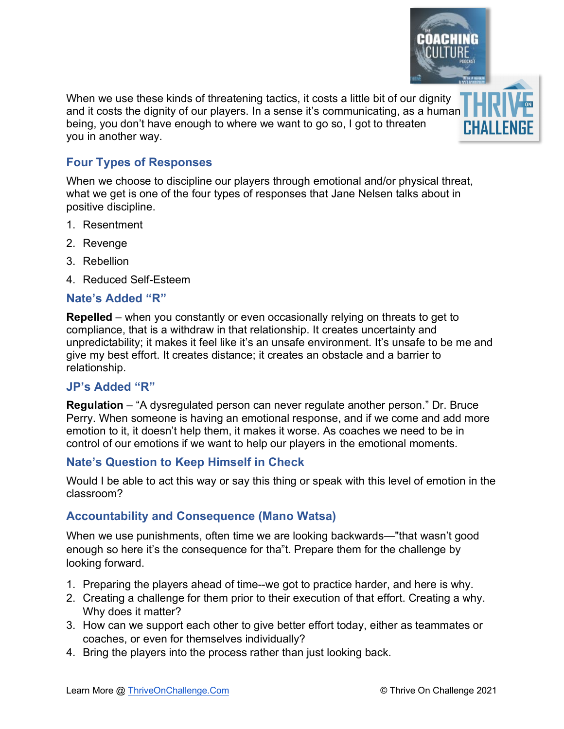When we use these kinds of threatening tactics, it costs a little bit of our dignity and it costs the dignity of our players. In a sense it's communicating, as a human being, you don't have enough to where we want to go so, I got to threaten you in another way.

#### **Four Types of Responses**

When we choose to discipline our players through emotional and/or physical threat, what we get is one of the four types of responses that Jane Nelsen talks about in positive discipline.

- 1. Resentment
- 2. Revenge
- 3. Rebellion
- 4. Reduced Self-Esteem

#### **Nate's Added "R"**

**Repelled** – when you constantly or even occasionally relying on threats to get to compliance, that is a withdraw in that relationship. It creates uncertainty and unpredictability; it makes it feel like it's an unsafe environment. It's unsafe to be me and give my best effort. It creates distance; it creates an obstacle and a barrier to relationship.

#### **JP's Added "R"**

**Regulation** – "A dysregulated person can never regulate another person." Dr. Bruce Perry. When someone is having an emotional response, and if we come and add more emotion to it, it doesn't help them, it makes it worse. As coaches we need to be in control of our emotions if we want to help our players in the emotional moments.

#### **Nate's Question to Keep Himself in Check**

Would I be able to act this way or say this thing or speak with this level of emotion in the classroom?

#### **Accountability and Consequence (Mano Watsa)**

When we use punishments, often time we are looking backwards—"that wasn't good enough so here it's the consequence for tha"t. Prepare them for the challenge by looking forward.

- 1. Preparing the players ahead of time--we got to practice harder, and here is why.
- 2. Creating a challenge for them prior to their execution of that effort. Creating a why. Why does it matter?
- 3. How can we support each other to give better effort today, either as teammates or coaches, or even for themselves individually?
- 4. Bring the players into the process rather than just looking back.